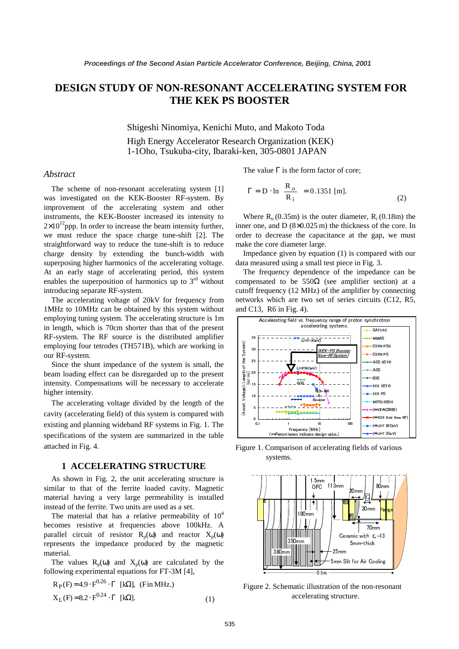# **DESIGN STUDY OF NON-RESONANT ACCELERATING SYSTEM FOR THE KEK PS BOOSTER**

Shigeshi Ninomiya, Kenichi Muto, and Makoto Toda High Energy Accelerator Research Organization (KEK) 1-1Oho, Tsukuba-city, Ibaraki-ken, 305-0801 JAPAN

### *Abstract*

The scheme of non-resonant accelerating system [1] was investigated on the KEK-Booster RF-system. By improvement of the accelerating system and other instruments, the KEK-Booster increased its intensity to  $2\times10^{12}$ ppp. In order to increase the beam intensity further, we must reduce the space charge tune-shift [2]. The straightforward way to reduce the tune-shift is to reduce charge density by extending the bunch-width with superposing higher harmonics of the accelerating voltage. At an early stage of accelerating period, this system enables the superposition of harmonics up to  $3<sup>rd</sup>$  without introducing separate RF-system.

The accelerating voltage of 20kV for frequency from 1MHz to 10MHz can be obtained by this system without employing tuning system. The accelerating structure is 1m in length, which is 70cm shorter than that of the present RF-system. The RF source is the distributed amplifier employing four tetrodes (TH571B), which are working in our RF-system.

Since the shunt impedance of the system is small, the beam loading effect can be disregarded up to the present intensity. Compensations will be necessary to accelerate higher intensity.

The accelerating voltage divided by the length of the cavity (accelerating field) of this system is compared with existing and planning wideband RF systems in Fig. 1. The specifications of the system are summarized in the table attached in Fig. 4.

## **1 ACCELERATING STRUCTURE**

As shown in Fig. 2, the unit accelerating structure is similar to that of the ferrite loaded cavity. Magnetic material having a very large permeability is installed instead of the ferrite. Two units are used as a set.

The material that has a relative permeability of  $10<sup>4</sup>$ becomes resistive at frequencies above 100kHz. A parallel circuit of resistor  $R_p(\omega)$  and reactor  $X_p(\omega)$ represents the impedance produced by the magnetic material.

The values  $R_p(\omega)$  and  $X_p(\omega)$  are calculated by the following experimental equations for FT-3M [4],

$$
R_P(F) = 4.9 \cdot F^{0.26} \cdot \Gamma \text{ [k}\Omega\text{], (Fin MHz.)}
$$
  

$$
X_L(F) = 8.2 \cdot F^{0.24} \cdot \Gamma \text{ [k}\Omega\text{].}
$$
 (1)

The value  $\Gamma$  is the form factor of core;

$$
\Gamma = D \cdot \ln\left(\frac{R_o}{R_i}\right) = 0.1351 \text{ [m]}.
$$
 (2)

Where  $R_0$  (0.35m) is the outer diameter,  $R_i$  (0.18m) the inner one, and D (8×0.025 m) the thickness of the core. In order to decrease the capacitance at the gap, we must make the core diameter large.

Impedance given by equation (1) is compared with our data measured using a small test piece in Fig. 3.

The frequency dependence of the impedance can be compensated to be  $550\Omega$  (see amplifier section) at a cutoff frequency (12 MHz) of the amplifier by connecting networks which are two set of series circuits (C12, R5, and C13, R6 in Fig. 4).



Figure 1. Comparison of accelerating fields of various systems.



Figure 2. Schematic illustration of the non-resonant accelerating structure.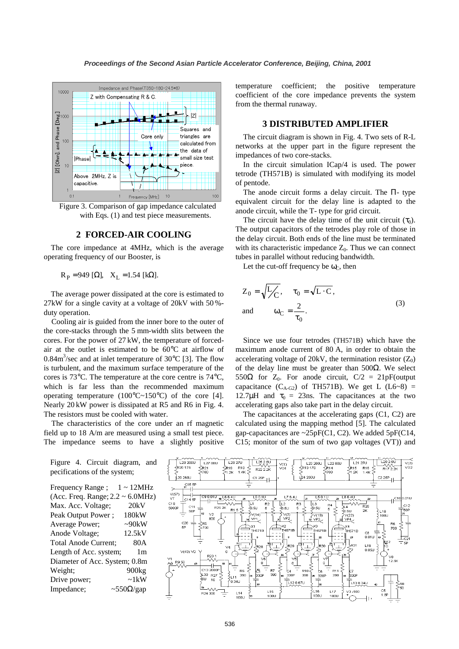

Figure 3. Comparison of gap impedance calculated with Eqs.  $(1)$  and test piece measurements.

### **2 FORCED-AIR COOLING**

The core impedance at 4MHz, which is the average operating frequency of our Booster, is

 $R_P = 949$  [Ω],  $X_L = 1.54$  [kΩ].

The average power dissipated at the core is estimated to 27kW for a single cavity at a voltage of 20kV with 50 % duty operation.

Cooling air is guided from the inner bore to the outer of the core-stacks through the 5 mm-width slits between the cores. For the power of 27 kW, the temperature of forcedair at the outlet is estimated to be 60°C at airflow of 0.84 $\text{m}^3/\text{sec}$  and at inlet temperature of 30 $\textdegree$ C [3]. The flow is turbulent, and the maximum surface temperature of the cores is 73°C. The temperature at the core centre is 74°C, which is far less than the recommended maximum operating temperature  $(100^{\circ}C - 150^{\circ}C)$  of the core [4]. Nearly 20 kW power is dissipated at R5 and R6 in Fig. 4. The resistors must be cooled with water.

The characteristics of the core under an rf magnetic field up to 18 A/m are measured using a small test piece. The impedance seems to have a slightly positive

temperature coefficient; the positive temperature coefficient of the core impedance prevents the system from the thermal runaway.

# **3 DISTRIBUTED AMPLIFIER**

The circuit diagram is shown in Fig. 4. Two sets of R-L networks at the upper part in the figure represent the impedances of two core-stacks.

In the circuit simulation ICap/4 is used. The power tetrode (TH571B) is simulated with modifying its model of pentode.

The anode circuit forms a delay circuit. The Π- type equivalent circuit for the delay line is adapted to the anode circuit, while the T- type for grid circuit.

The circuit have the delay time of the unit circuit  $(\tau_0)$ . The output capacitors of the tetrodes play role of those in the delay circuit. Both ends of the line must be terminated with its characteristic impedance  $Z_0$ . Thus we can connect tubes in parallel without reducing bandwidth.

Let the cut-off frequency be  $\omega_C$ , then

$$
Z_0 = \sqrt{L/c}, \quad \tau_0 = \sqrt{L \cdot C},
$$
  
and 
$$
\omega_C = \frac{2}{\tau_0}.
$$
 (3)

Since we use four tetrodes (TH571B) which have the maximum anode current of 80 A, in order to obtain the accelerating voltage of 20kV, the termination resistor  $(Z_0)$ of the delay line must be greater than 500Ω. We select 550Ω for  $Z_0$ . For anode circuit,  $C/2 = 21pF$ (output capacitance  $(C_{A-G2})$  of TH571B). We get L  $(L6-8)$  = 12.7 $\mu$ H and  $\tau_0 = 23$ ns. The capacitances at the two accelerating gaps also take part in the delay circuit.

The capacitances at the accelerating gaps (C1, C2) are calculated using the mapping method [5]. The calculated gap-capacitances are  $\sim$ 25pF(C1, C2). We added 5pF(C14, C15; monitor of the sum of two gap voltages (VT)) and



Figure 4. Circuit diagram, and pecifications of the system;

Frequency Range ;  $1 \sim 12$ MHz (Acc. Freq. Range; 2.2 ~ 6.0MHz) Max. Acc. Voltage; 20kV Peak Output Power ; 180kW Average Power;  $\sim$ 90kW Anode Voltage; 12.5kV Total Anode Current; 80A Length of Acc. system; 1m Diameter of Acc. System; 0.8m Weight; 900kg Drive power;  $\sim 1 \text{kW}$ Impedance;  $~\sim$  550Ω/gap